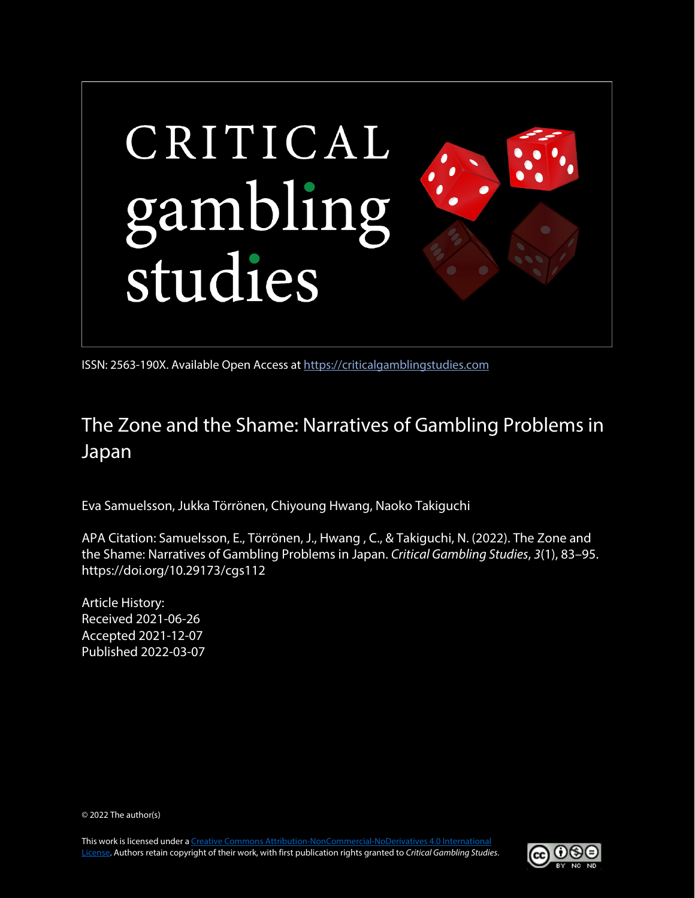

ISSN: 2563-190X. Available Open Access at [https://criticalgamblingstudies.com](https://criticalgamblingstudies.com/)

# The Zone and the Shame: Narratives of Gambling Problems in Japan

Eva Samuelsson, Jukka Törrönen, Chiyoung Hwang, Naoko Takiguchi

APA Citation: Samuelsson, E., Törrönen, J., Hwang , C., & Takiguchi, N. (2022). The Zone and the Shame: Narratives of Gambling Problems in Japan. *Critical Gambling Studies*, *3*(1), 83–95. https://doi.org/10.29173/cgs112

Article History: Received 2021-06-26 Accepted 2021-12-07 Published 2022-03-07

© 2022 The author(s)

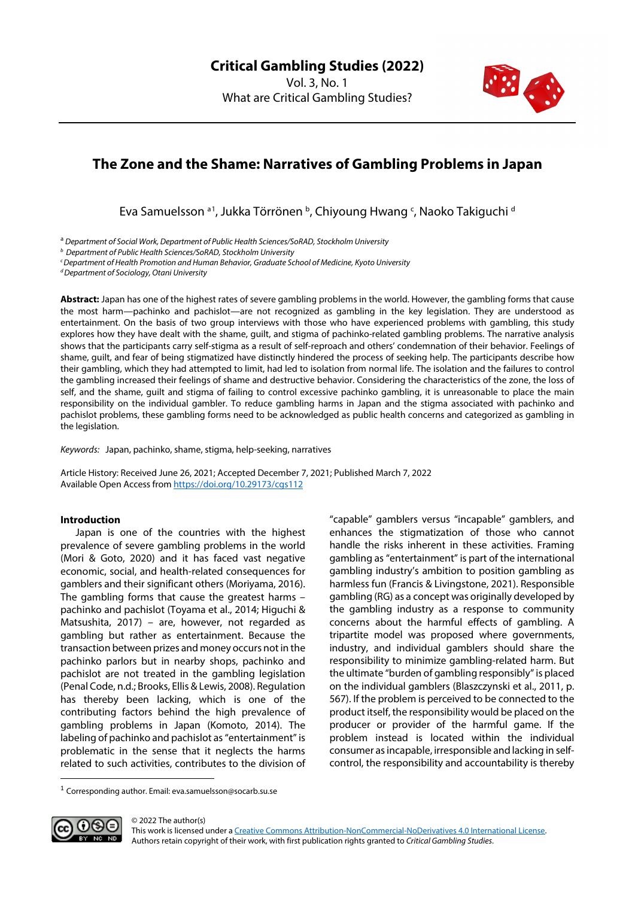

## **The Zone and the Shame: Narratives of Gambling Problems in Japan**

Eva Samuelsson <sup>a [1](#page-1-0)</sup>, Jukka Törrönen <sup>b</sup>, Chiyoung Hwang <sup>c</sup>, Naoko Takiguchi <sup>d</sup>

<sup>a</sup> *Department of Social Work, Department of Public Health Sciences/SoRAD, Stockholm University*

*<sup>b</sup> Department of Public Health Sciences/SoRAD, Stockholm University*

*cDepartment of Health Promotion and Human Behavior, Graduate School of Medicine, Kyoto University*

*dDepartment of Sociology, Otani University*

**Abstract:** Japan has one of the highest rates of severe gambling problems in the world. However, the gambling forms that cause the most harm—pachinko and pachislot—are not recognized as gambling in the key legislation. They are understood as entertainment. On the basis of two group interviews with those who have experienced problems with gambling, this study explores how they have dealt with the shame, guilt, and stigma of pachinko-related gambling problems. The narrative analysis shows that the participants carry self-stigma as a result of self-reproach and others' condemnation of their behavior. Feelings of shame, guilt, and fear of being stigmatized have distinctly hindered the process of seeking help. The participants describe how their gambling, which they had attempted to limit, had led to isolation from normal life. The isolation and the failures to control the gambling increased their feelings of shame and destructive behavior. Considering the characteristics of the zone, the loss of self, and the shame, guilt and stigma of failing to control excessive pachinko gambling, it is unreasonable to place the main responsibility on the individual gambler. To reduce gambling harms in Japan and the stigma associated with pachinko and pachislot problems, these gambling forms need to be acknowledged as public health concerns and categorized as gambling in the legislation.

*Keywords:* Japan, pachinko, shame, stigma, help-seeking, narratives

Article History: Received June 26, 2021; Accepted December 7, 2021; Published March 7, 2022 Available Open Access from<https://doi.org/10.29173/cgs112>

### **Introduction**

Japan is one of the countries with the highest prevalence of severe gambling problems in the world (Mori & Goto, 2020) and it has faced vast negative economic, social, and health-related consequences for gamblers and their significant others (Moriyama, 2016). The gambling forms that cause the greatest harms – pachinko and pachislot (Toyama et al., 2014; Higuchi & Matsushita, 2017) – are, however, not regarded as gambling but rather as entertainment. Because the transaction between prizes and money occurs not in the pachinko parlors but in nearby shops, pachinko and pachislot are not treated in the gambling legislation (Penal Code, n.d.; Brooks, Ellis & Lewis, 2008). Regulation has thereby been lacking, which is one of the contributing factors behind the high prevalence of gambling problems in Japan (Komoto, 2014). The labeling of pachinko and pachislot as "entertainment" is problematic in the sense that it neglects the harms related to such activities, contributes to the division of

"capable" gamblers versus "incapable" gamblers, and enhances the stigmatization of those who cannot handle the risks inherent in these activities. Framing gambling as "entertainment" is part of the international gambling industry's ambition to position gambling as harmless fun (Francis & Livingstone, 2021). Responsible gambling (RG) as a concept was originally developed by the gambling industry as a response to community concerns about the harmful effects of gambling. A tripartite model was proposed where governments, industry, and individual gamblers should share the responsibility to minimize gambling-related harm. But the ultimate "burden of gambling responsibly" is placed on the individual gamblers (Blaszczynski et al., 2011, p. 567). If the problem is perceived to be connected to the product itself, the responsibility would be placed on the producer or provider of the harmful game. If the problem instead is located within the individual consumer as incapable, irresponsible and lacking in selfcontrol, the responsibility and accountability is thereby

<span id="page-1-0"></span><sup>&</sup>lt;sup>1</sup> Corresponding author. Email: eva.samuelsson@socarb.su.se



© 2022 The author(s) This work is licensed under [a Creative Commons Attribution-NonCommercial-NoDerivatives 4.0 International License.](https://creativecommons.org/licenses/by-nc-nd/4.0/)  Authors retain copyright of their work, with first publication rights granted to *Critical Gambling Studies*.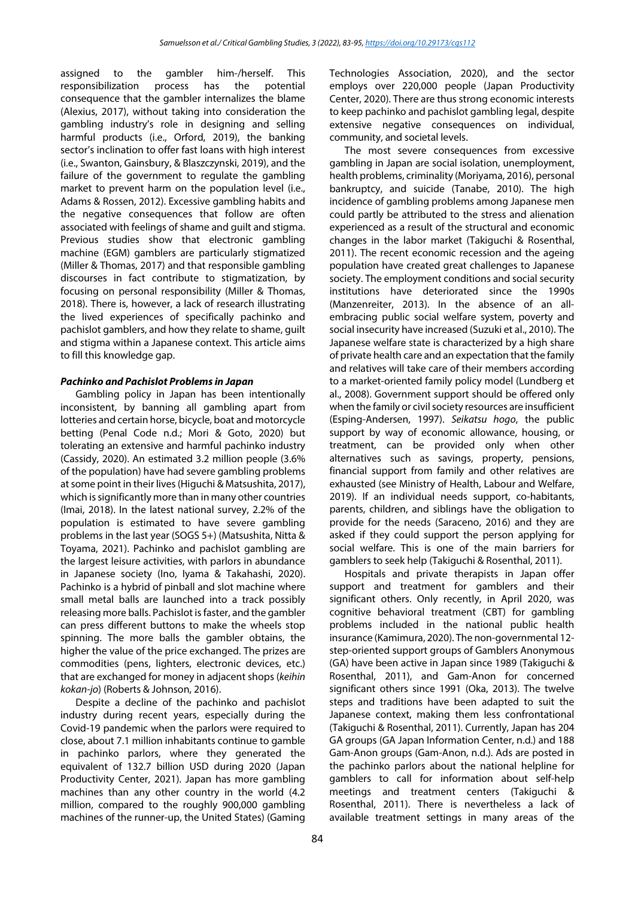assigned to the gambler him-/herself. This responsibilization process has the potential consequence that the gambler internalizes the blame (Alexius, 2017), without taking into consideration the gambling industry's role in designing and selling harmful products (i.e., Orford, 2019), the banking sector's inclination to offer fast loans with high interest (i.e., Swanton, Gainsbury, & Blaszczynski, 2019), and the failure of the government to regulate the gambling market to prevent harm on the population level (i.e., Adams & Rossen, 2012). Excessive gambling habits and the negative consequences that follow are often associated with feelings of shame and guilt and stigma. Previous studies show that electronic gambling machine (EGM) gamblers are particularly stigmatized (Miller & Thomas, 2017) and that responsible gambling discourses in fact contribute to stigmatization, by focusing on personal responsibility (Miller & Thomas, 2018). There is, however, a lack of research illustrating the lived experiences of specifically pachinko and pachislot gamblers, and how they relate to shame, guilt and stigma within a Japanese context. This article aims to fill this knowledge gap.

## *Pachinko and Pachislot Problems in Japan*

Gambling policy in Japan has been intentionally inconsistent, by banning all gambling apart from lotteries and certain horse, bicycle, boat and motorcycle betting (Penal Code n.d.; Mori & Goto, 2020) but tolerating an extensive and harmful pachinko industry (Cassidy, 2020). An estimated 3.2 million people (3.6% of the population) have had severe gambling problems at some point in their lives (Higuchi & Matsushita, 2017), which is significantly more than in many other countries (Imai, 2018). In the latest national survey, 2.2% of the population is estimated to have severe gambling problems in the last year (SOGS 5+) (Matsushita, Nitta & Toyama, 2021). Pachinko and pachislot gambling are the largest leisure activities, with parlors in abundance in Japanese society (Ino, Iyama & Takahashi, 2020). Pachinko is a hybrid of pinball and slot machine where small metal balls are launched into a track possibly releasing more balls. Pachislot is faster, and the gambler can press different buttons to make the wheels stop spinning. The more balls the gambler obtains, the higher the value of the price exchanged. The prizes are commodities (pens, lighters, electronic devices, etc.) that are exchanged for money in adjacent shops (*keihin kokan-jo*) (Roberts & Johnson, 2016).

Despite a decline of the pachinko and pachislot industry during recent years, especially during the Covid-19 pandemic when the parlors were required to close, about 7.1 million inhabitants continue to gamble in pachinko parlors, where they generated the equivalent of 132.7 billion USD during 2020 (Japan Productivity Center, 2021). Japan has more gambling machines than any other country in the world (4.2 million, compared to the roughly 900,000 gambling machines of the runner-up, the United States) (Gaming Technologies Association, 2020), and the sector employs over 220,000 people (Japan Productivity Center, 2020). There are thus strong economic interests to keep pachinko and pachislot gambling legal, despite extensive negative consequences on individual, community, and societal levels.

The most severe consequences from excessive gambling in Japan are social isolation, unemployment, health problems, criminality (Moriyama, 2016), personal bankruptcy, and suicide (Tanabe, 2010). The high incidence of gambling problems among Japanese men could partly be attributed to the stress and alienation experienced as a result of the structural and economic changes in the labor market (Takiguchi & Rosenthal, 2011). The recent economic recession and the ageing population have created great challenges to Japanese society. The employment conditions and social security institutions have deteriorated since the 1990s (Manzenreiter, 2013). In the absence of an allembracing public social welfare system, poverty and social insecurity have increased (Suzuki et al., 2010). The Japanese welfare state is characterized by a high share of private health care and an expectation that the family and relatives will take care of their members according to a market-oriented family policy model (Lundberg et al., 2008). Government support should be offered only when the family or civil society resources are insufficient (Esping-Andersen, 1997). *Seikatsu hogo*, the public support by way of economic allowance, housing, or treatment, can be provided only when other alternatives such as savings, property, pensions, financial support from family and other relatives are exhausted (see Ministry of Health, Labour and Welfare, 2019). If an individual needs support, co-habitants, parents, children, and siblings have the obligation to provide for the needs (Saraceno, 2016) and they are asked if they could support the person applying for social welfare. This is one of the main barriers for gamblers to seek help (Takiguchi & Rosenthal, 2011).

Hospitals and private therapists in Japan offer support and treatment for gamblers and their significant others. Only recently, in April 2020, was cognitive behavioral treatment (CBT) for gambling problems included in the national public health insurance (Kamimura, 2020). The non-governmental 12 step-oriented support groups of Gamblers Anonymous (GA) have been active in Japan since 1989 (Takiguchi & Rosenthal, 2011), and Gam-Anon for concerned significant others since 1991 (Oka, 2013). The twelve steps and traditions have been adapted to suit the Japanese context, making them less confrontational (Takiguchi & Rosenthal, 2011). Currently, Japan has 204 GA groups (GA Japan Information Center, n.d.) and 188 Gam-Anon groups (Gam-Anon, n.d.). Ads are posted in the pachinko parlors about the national helpline for gamblers to call for information about self-help meetings and treatment centers (Takiguchi & Rosenthal, 2011). There is nevertheless a lack of available treatment settings in many areas of the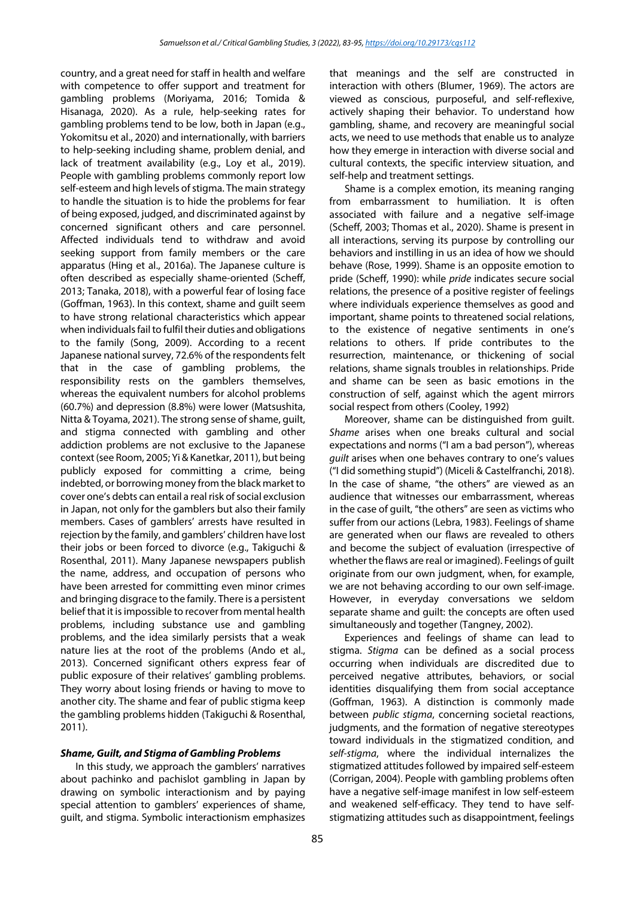country, and a great need for staff in health and welfare with competence to offer support and treatment for gambling problems (Moriyama, 2016; Tomida & Hisanaga, 2020). As a rule, help-seeking rates for gambling problems tend to be low, both in Japan (e.g., Yokomitsu et al., 2020) and internationally, with barriers to help-seeking including shame, problem denial, and lack of treatment availability (e.g., Loy et al., 2019). People with gambling problems commonly report low self-esteem and high levels of stigma. The main strategy to handle the situation is to hide the problems for fear of being exposed, judged, and discriminated against by concerned significant others and care personnel. Affected individuals tend to withdraw and avoid seeking support from family members or the care apparatus (Hing et al., 2016a). The Japanese culture is often described as especially shame-oriented (Scheff, 2013; Tanaka, 2018), with a powerful fear of losing face (Goffman, 1963). In this context, shame and guilt seem to have strong relational characteristics which appear when individuals fail to fulfil their duties and obligations to the family (Song, 2009). According to a recent Japanese national survey, 72.6% of the respondents felt that in the case of gambling problems, the responsibility rests on the gamblers themselves, whereas the equivalent numbers for alcohol problems (60.7%) and depression (8.8%) were lower (Matsushita, Nitta & Toyama, 2021). The strong sense of shame, guilt, and stigma connected with gambling and other addiction problems are not exclusive to the Japanese context (see Room, 2005; Yi & Kanetkar, 2011), but being publicly exposed for committing a crime, being indebted, or borrowing money from the black market to cover one's debts can entail a real risk of social exclusion in Japan, not only for the gamblers but also their family members. Cases of gamblers' arrests have resulted in rejection by the family, and gamblers' children have lost their jobs or been forced to divorce (e.g., Takiguchi & Rosenthal, 2011). Many Japanese newspapers publish the name, address, and occupation of persons who have been arrested for committing even minor crimes and bringing disgrace to the family. There is a persistent belief that it is impossible to recover from mental health problems, including substance use and gambling problems, and the idea similarly persists that a weak nature lies at the root of the problems (Ando et al., 2013). Concerned significant others express fear of public exposure of their relatives' gambling problems. They worry about losing friends or having to move to another city. The shame and fear of public stigma keep the gambling problems hidden (Takiguchi & Rosenthal, 2011).

#### *Shame, Guilt, and Stigma of Gambling Problems*

In this study, we approach the gamblers' narratives about pachinko and pachislot gambling in Japan by drawing on symbolic interactionism and by paying special attention to gamblers' experiences of shame, guilt, and stigma. Symbolic interactionism emphasizes that meanings and the self are constructed in interaction with others (Blumer, 1969). The actors are viewed as conscious, purposeful, and self-reflexive, actively shaping their behavior. To understand how gambling, shame, and recovery are meaningful social acts, we need to use methods that enable us to analyze how they emerge in interaction with diverse social and cultural contexts, the specific interview situation, and self-help and treatment settings.

Shame is a complex emotion, its meaning ranging from embarrassment to humiliation. It is often associated with failure and a negative self-image (Scheff, 2003; Thomas et al., 2020). Shame is present in all interactions, serving its purpose by controlling our behaviors and instilling in us an idea of how we should behave (Rose, 1999). Shame is an opposite emotion to pride (Scheff, 1990): while *pride* indicates secure social relations, the presence of a positive register of feelings where individuals experience themselves as good and important, shame points to threatened social relations, to the existence of negative sentiments in one's relations to others. If pride contributes to the resurrection, maintenance, or thickening of social relations, shame signals troubles in relationships. Pride and shame can be seen as basic emotions in the construction of self, against which the agent mirrors social respect from others (Cooley, 1992)

Moreover, shame can be distinguished from guilt. *Shame* arises when one breaks cultural and social expectations and norms ("I am a bad person"), whereas *guilt* arises when one behaves contrary to one's values ("I did something stupid") (Miceli & Castelfranchi, 2018). In the case of shame, "the others" are viewed as an audience that witnesses our embarrassment, whereas in the case of guilt, "the others" are seen as victims who suffer from our actions (Lebra, 1983). Feelings of shame are generated when our flaws are revealed to others and become the subject of evaluation (irrespective of whether the flaws are real or imagined). Feelings of guilt originate from our own judgment, when, for example, we are not behaving according to our own self-image. However, in everyday conversations we seldom separate shame and guilt: the concepts are often used simultaneously and together (Tangney, 2002).

Experiences and feelings of shame can lead to stigma. *Stigma* can be defined as a social process occurring when individuals are discredited due to perceived negative attributes, behaviors, or social identities disqualifying them from social acceptance (Goffman, 1963). A distinction is commonly made between *public stigma*, concerning societal reactions, judgments, and the formation of negative stereotypes toward individuals in the stigmatized condition, and *self-stigma*, where the individual internalizes the stigmatized attitudes followed by impaired self-esteem (Corrigan, 2004). People with gambling problems often have a negative self-image manifest in low self-esteem and weakened self-efficacy. They tend to have selfstigmatizing attitudes such as disappointment, feelings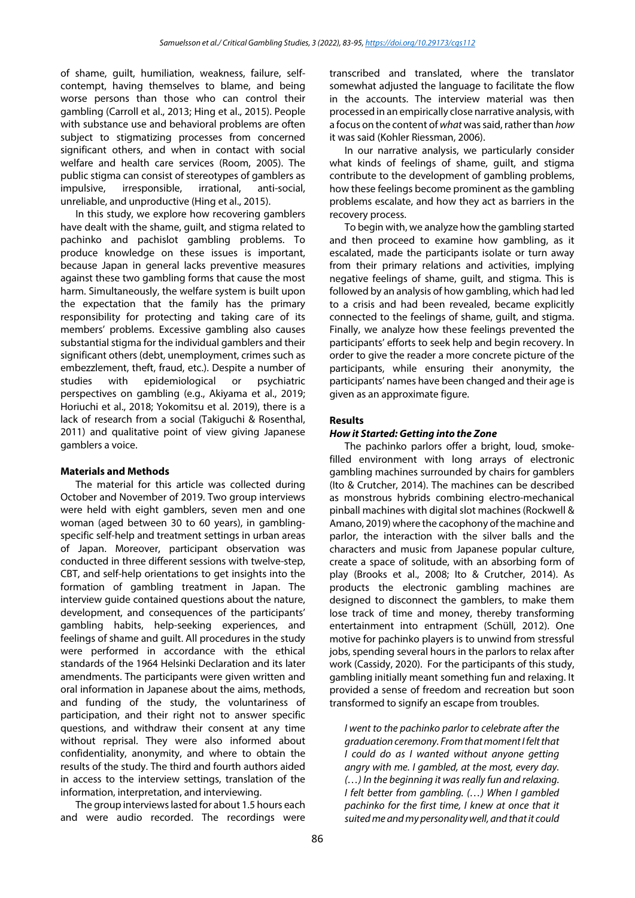of shame, guilt, humiliation, weakness, failure, selfcontempt, having themselves to blame, and being worse persons than those who can control their gambling (Carroll et al., 2013; Hing et al., 2015). People with substance use and behavioral problems are often subject to stigmatizing processes from concerned significant others, and when in contact with social welfare and health care services (Room, 2005). The public stigma can consist of stereotypes of gamblers as impulsive, irresponsible, irrational, anti-social, unreliable, and unproductive (Hing et al., 2015).

In this study, we explore how recovering gamblers have dealt with the shame, guilt, and stigma related to pachinko and pachislot gambling problems. To produce knowledge on these issues is important, because Japan in general lacks preventive measures against these two gambling forms that cause the most harm. Simultaneously, the welfare system is built upon the expectation that the family has the primary responsibility for protecting and taking care of its members' problems. Excessive gambling also causes substantial stigma for the individual gamblers and their significant others (debt, unemployment, crimes such as embezzlement, theft, fraud, etc.). Despite a number of studies with epidemiological or psychiatric perspectives on gambling (e.g., Akiyama et al., 2019; Horiuchi et al., 2018; Yokomitsu et al. 2019), there is a lack of research from a social (Takiguchi & Rosenthal, 2011) and qualitative point of view giving Japanese gamblers a voice.

### **Materials and Methods**

The material for this article was collected during October and November of 2019. Two group interviews were held with eight gamblers, seven men and one woman (aged between 30 to 60 years), in gamblingspecific self-help and treatment settings in urban areas of Japan. Moreover, participant observation was conducted in three different sessions with twelve-step, CBT, and self-help orientations to get insights into the formation of gambling treatment in Japan. The interview guide contained questions about the nature, development, and consequences of the participants' gambling habits, help-seeking experiences, and feelings of shame and guilt. All procedures in the study were performed in accordance with the ethical standards of the 1964 Helsinki Declaration and its later amendments. The participants were given written and oral information in Japanese about the aims, methods, and funding of the study, the voluntariness of participation, and their right not to answer specific questions, and withdraw their consent at any time without reprisal. They were also informed about confidentiality, anonymity, and where to obtain the results of the study. The third and fourth authors aided in access to the interview settings, translation of the information, interpretation, and interviewing.

The group interviews lasted for about 1.5 hours each and were audio recorded. The recordings were transcribed and translated, where the translator somewhat adjusted the language to facilitate the flow in the accounts. The interview material was then processed in an empirically close narrative analysis, with a focus on the content of *what* was said, rather than *how* it was said (Kohler Riessman, 2006).

In our narrative analysis, we particularly consider what kinds of feelings of shame, guilt, and stigma contribute to the development of gambling problems, how these feelings become prominent as the gambling problems escalate, and how they act as barriers in the recovery process.

To begin with, we analyze how the gambling started and then proceed to examine how gambling, as it escalated, made the participants isolate or turn away from their primary relations and activities, implying negative feelings of shame, guilt, and stigma. This is followed by an analysis of how gambling, which had led to a crisis and had been revealed, became explicitly connected to the feelings of shame, guilt, and stigma. Finally, we analyze how these feelings prevented the participants' efforts to seek help and begin recovery. In order to give the reader a more concrete picture of the participants, while ensuring their anonymity, the participants' names have been changed and their age is given as an approximate figure.

#### **Results**

#### *How it Started: Getting into the Zone*

The pachinko parlors offer a bright, loud, smokefilled environment with long arrays of electronic gambling machines surrounded by chairs for gamblers (Ito & Crutcher, 2014). The machines can be described as monstrous hybrids combining electro-mechanical pinball machines with digital slot machines (Rockwell & Amano, 2019) where the cacophony of the machine and parlor, the interaction with the silver balls and the characters and music from Japanese popular culture, create a space of solitude, with an absorbing form of play (Brooks et al., 2008; Ito & Crutcher, 2014). As products the electronic gambling machines are designed to disconnect the gamblers, to make them lose track of time and money, thereby transforming entertainment into entrapment (Schüll, 2012). One motive for pachinko players is to unwind from stressful jobs, spending several hours in the parlors to relax after work (Cassidy, 2020). For the participants of this study, gambling initially meant something fun and relaxing. It provided a sense of freedom and recreation but soon transformed to signify an escape from troubles.

*I went to the pachinko parlor to celebrate after the graduation ceremony. From that moment I felt that I could do as I wanted without anyone getting angry with me. I gambled, at the most, every day. (…) In the beginning it was really fun and relaxing. I felt better from gambling. (…) When I gambled pachinko for the first time, I knew at once that it suited me and my personality well, and that it could*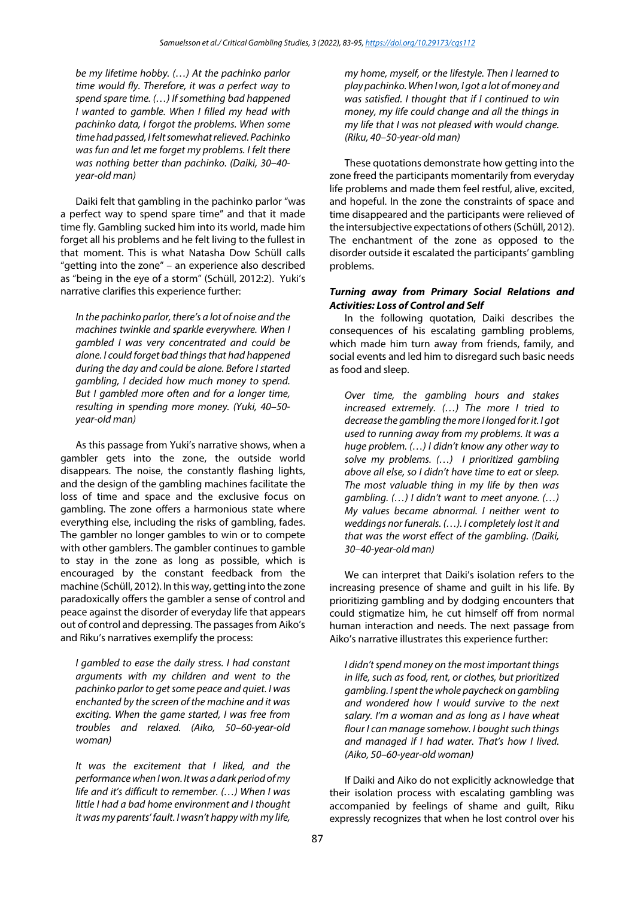*be my lifetime hobby. (…) At the pachinko parlor time would fly. Therefore, it was a perfect way to spend spare time. (…) If something bad happened I wanted to gamble. When I filled my head with pachinko data, I forgot the problems. When some time had passed, I felt somewhat relieved. Pachinko was fun and let me forget my problems. I felt there was nothing better than pachinko. (Daiki, 30–40 year-old man)*

Daiki felt that gambling in the pachinko parlor "was a perfect way to spend spare time" and that it made time fly. Gambling sucked him into its world, made him forget all his problems and he felt living to the fullest in that moment. This is what Natasha Dow Schüll calls "getting into the zone" – an experience also described as "being in the eye of a storm" (Schüll, 2012:2). Yuki's narrative clarifies this experience further:

*In the pachinko parlor, there's a lot of noise and the machines twinkle and sparkle everywhere. When I gambled I was very concentrated and could be alone. I could forget bad things that had happened during the day and could be alone. Before I started gambling, I decided how much money to spend. But I gambled more often and for a longer time, resulting in spending more money. (Yuki, 40–50 year-old man)*

As this passage from Yuki's narrative shows, when a gambler gets into the zone, the outside world disappears. The noise, the constantly flashing lights, and the design of the gambling machines facilitate the loss of time and space and the exclusive focus on gambling. The zone offers a harmonious state where everything else, including the risks of gambling, fades. The gambler no longer gambles to win or to compete with other gamblers. The gambler continues to gamble to stay in the zone as long as possible, which is encouraged by the constant feedback from the machine (Schüll, 2012). In this way, getting into the zone paradoxically offers the gambler a sense of control and peace against the disorder of everyday life that appears out of control and depressing. The passages from Aiko's and Riku's narratives exemplify the process:

*I gambled to ease the daily stress. I had constant arguments with my children and went to the pachinko parlor to get some peace and quiet. I was enchanted by the screen of the machine and it was exciting. When the game started, I was free from troubles and relaxed. (Aiko, 50–60-year-old woman)*

*It was the excitement that I liked, and the performance when I won. It was a dark period of my life and it's difficult to remember. (…) When I was little I had a bad home environment and I thought it was my parents' fault. I wasn't happy with my life,* 

*my home, myself, or the lifestyle. Then I learned to play pachinko. When I won, I got a lot of money and was satisfied. I thought that if I continued to win money, my life could change and all the things in my life that I was not pleased with would change. (Riku, 40–50-year-old man)*

These quotations demonstrate how getting into the zone freed the participants momentarily from everyday life problems and made them feel restful, alive, excited, and hopeful. In the zone the constraints of space and time disappeared and the participants were relieved of the intersubjective expectations of others (Schüll, 2012). The enchantment of the zone as opposed to the disorder outside it escalated the participants' gambling problems.

## *Turning away from Primary Social Relations and Activities: Loss of Control and Self*

In the following quotation, Daiki describes the consequences of his escalating gambling problems, which made him turn away from friends, family, and social events and led him to disregard such basic needs as food and sleep.

*Over time, the gambling hours and stakes increased extremely. (…) The more I tried to decrease the gambling the more I longed for it. I got used to running away from my problems. It was a huge problem. (…) I didn't know any other way to solve my problems. (…) I prioritized gambling above all else, so I didn't have time to eat or sleep. The most valuable thing in my life by then was gambling. (…) I didn't want to meet anyone. (…) My values became abnormal. I neither went to weddings nor funerals. (…). I completely lost it and that was the worst effect of the gambling. (Daiki, 30–40-year-old man)*

We can interpret that Daiki's isolation refers to the increasing presence of shame and guilt in his life. By prioritizing gambling and by dodging encounters that could stigmatize him, he cut himself off from normal human interaction and needs. The next passage from Aiko's narrative illustrates this experience further:

*I didn't spend money on the most important things in life, such as food, rent, or clothes, but prioritized gambling. I spent the whole paycheck on gambling and wondered how I would survive to the next salary. I'm a woman and as long as I have wheat flour I can manage somehow. I bought such things and managed if I had water. That's how I lived. (Aiko, 50–60-year-old woman)*

If Daiki and Aiko do not explicitly acknowledge that their isolation process with escalating gambling was accompanied by feelings of shame and guilt, Riku expressly recognizes that when he lost control over his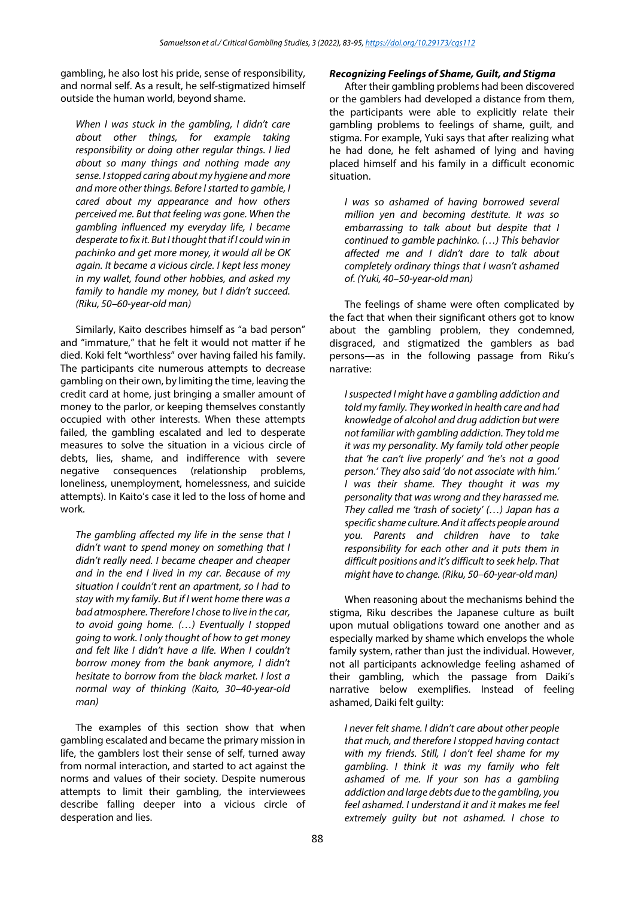gambling, he also lost his pride, sense of responsibility, and normal self. As a result, he self-stigmatized himself outside the human world, beyond shame.

*When I was stuck in the gambling, I didn't care about other things, for example taking responsibility or doing other regular things. I lied about so many things and nothing made any sense. I stopped caring about my hygiene and more and more other things. Before I started to gamble, I cared about my appearance and how others perceived me. But that feeling was gone. When the gambling influenced my everyday life, I became desperate to fix it. But I thought that if I could win in pachinko and get more money, it would all be OK again. It became a vicious circle. I kept less money in my wallet, found other hobbies, and asked my family to handle my money, but I didn't succeed. (Riku, 50–60-year-old man)*

Similarly, Kaito describes himself as "a bad person" and "immature," that he felt it would not matter if he died. Koki felt "worthless" over having failed his family. The participants cite numerous attempts to decrease gambling on their own, by limiting the time, leaving the credit card at home, just bringing a smaller amount of money to the parlor, or keeping themselves constantly occupied with other interests. When these attempts failed, the gambling escalated and led to desperate measures to solve the situation in a vicious circle of debts, lies, shame, and indifference with severe negative consequences (relationship problems, loneliness, unemployment, homelessness, and suicide attempts). In Kaito's case it led to the loss of home and work.

*The gambling affected my life in the sense that I didn't want to spend money on something that I didn't really need. I became cheaper and cheaper and in the end I lived in my car. Because of my situation I couldn't rent an apartment, so I had to stay with my family. But if I went home there was a bad atmosphere. Therefore I chose to live in the car, to avoid going home. (…) Eventually I stopped going to work. I only thought of how to get money and felt like I didn't have a life. When I couldn't borrow money from the bank anymore, I didn't hesitate to borrow from the black market. I lost a normal way of thinking (Kaito, 30–40-year-old man)*

The examples of this section show that when gambling escalated and became the primary mission in life, the gamblers lost their sense of self, turned away from normal interaction, and started to act against the norms and values of their society. Despite numerous attempts to limit their gambling, the interviewees describe falling deeper into a vicious circle of desperation and lies.

#### *Recognizing Feelings of Shame, Guilt, and Stigma*

After their gambling problems had been discovered or the gamblers had developed a distance from them, the participants were able to explicitly relate their gambling problems to feelings of shame, guilt, and stigma. For example, Yuki says that after realizing what he had done, he felt ashamed of lying and having placed himself and his family in a difficult economic situation.

*I was so ashamed of having borrowed several million yen and becoming destitute. It was so embarrassing to talk about but despite that I continued to gamble pachinko. (…) This behavior affected me and I didn't dare to talk about completely ordinary things that I wasn't ashamed of. (Yuki, 40–50-year-old man)*

The feelings of shame were often complicated by the fact that when their significant others got to know about the gambling problem, they condemned, disgraced, and stigmatized the gamblers as bad persons—as in the following passage from Riku's narrative:

*I suspected I might have a gambling addiction and told my family. They worked in health care and had knowledge of alcohol and drug addiction but were not familiar with gambling addiction. They told me it was my personality. My family told other people that 'he can't live properly' and 'he's not a good person.' They also said 'do not associate with him.' I was their shame. They thought it was my personality that was wrong and they harassed me. They called me 'trash of society' (…) Japan has a specific shame culture. And it affects people around you. Parents and children have to take responsibility for each other and it puts them in difficult positions and it's difficult to seek help. That might have to change. (Riku, 50–60-year-old man)*

When reasoning about the mechanisms behind the stigma, Riku describes the Japanese culture as built upon mutual obligations toward one another and as especially marked by shame which envelops the whole family system, rather than just the individual. However, not all participants acknowledge feeling ashamed of their gambling, which the passage from Daiki's narrative below exemplifies. Instead of feeling ashamed, Daiki felt guilty:

*I never felt shame. I didn't care about other people that much, and therefore I stopped having contact with my friends. Still, I don't feel shame for my gambling. I think it was my family who felt ashamed of me. If your son has a gambling addiction and large debts due to the gambling, you feel ashamed. I understand it and it makes me feel extremely guilty but not ashamed. I chose to*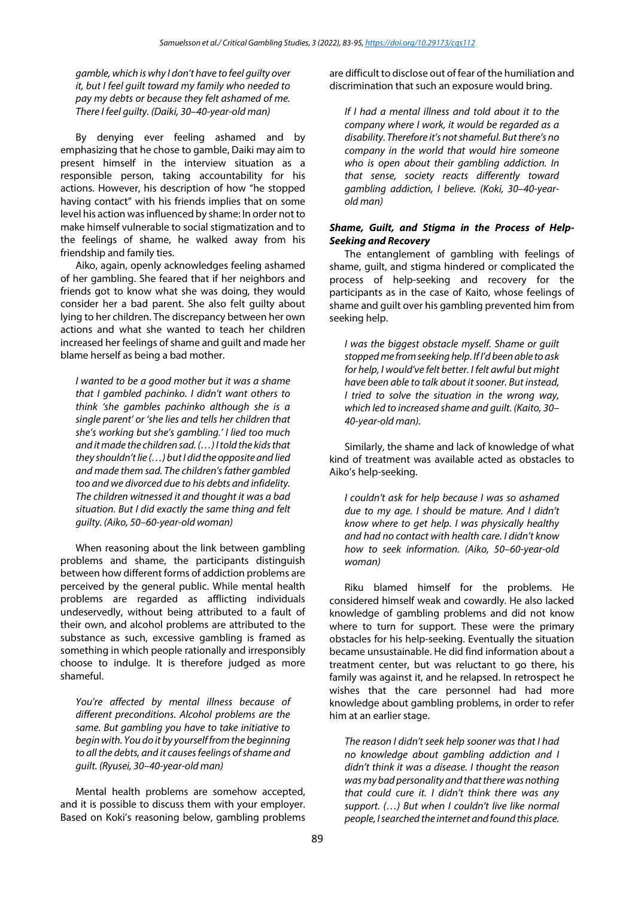*gamble, which is why I don't have to feel guilty over it, but I feel guilt toward my family who needed to pay my debts or because they felt ashamed of me. There I feel guilty. (Daiki, 30–40-year-old man)*

By denying ever feeling ashamed and by emphasizing that he chose to gamble, Daiki may aim to present himself in the interview situation as a responsible person, taking accountability for his actions. However, his description of how "he stopped having contact" with his friends implies that on some level his action was influenced by shame: In order not to make himself vulnerable to social stigmatization and to the feelings of shame, he walked away from his friendship and family ties.

Aiko, again, openly acknowledges feeling ashamed of her gambling. She feared that if her neighbors and friends got to know what she was doing, they would consider her a bad parent. She also felt guilty about lying to her children. The discrepancy between her own actions and what she wanted to teach her children increased her feelings of shame and guilt and made her blame herself as being a bad mother.

*I wanted to be a good mother but it was a shame that I gambled pachinko. I didn't want others to think 'she gambles pachinko although she is a single parent' or 'she lies and tells her children that she's working but she's gambling.' I lied too much and it made the children sad. (…) I told the kids that they shouldn't lie (…) but I did the opposite and lied and made them sad. The children's father gambled too and we divorced due to his debts and infidelity. The children witnessed it and thought it was a bad situation. But I did exactly the same thing and felt guilty. (Aiko, 50–60-year-old woman)*

When reasoning about the link between gambling problems and shame, the participants distinguish between how different forms of addiction problems are perceived by the general public. While mental health problems are regarded as afflicting individuals undeservedly, without being attributed to a fault of their own, and alcohol problems are attributed to the substance as such, excessive gambling is framed as something in which people rationally and irresponsibly choose to indulge. It is therefore judged as more shameful.

*You're affected by mental illness because of different preconditions. Alcohol problems are the same. But gambling you have to take initiative to begin with. You do it by yourself from the beginning to all the debts, and it causes feelings of shame and guilt. (Ryusei, 30–40-year-old man)*

Mental health problems are somehow accepted, and it is possible to discuss them with your employer. Based on Koki's reasoning below, gambling problems are difficult to disclose out of fear of the humiliation and discrimination that such an exposure would bring.

*If I had a mental illness and told about it to the company where I work, it would be regarded as a disability. Therefore it's not shameful. But there's no company in the world that would hire someone who is open about their gambling addiction. In that sense, society reacts differently toward gambling addiction, I believe. (Koki, 30–40-yearold man)*

## *Shame, Guilt, and Stigma in the Process of Help-Seeking and Recovery*

The entanglement of gambling with feelings of shame, guilt, and stigma hindered or complicated the process of help-seeking and recovery for the participants as in the case of Kaito, whose feelings of shame and guilt over his gambling prevented him from seeking help.

*I was the biggest obstacle myself. Shame or guilt stopped me from seeking help. If I'd been able to ask for help, I would've felt better. I felt awful but might have been able to talk about it sooner. But instead, I tried to solve the situation in the wrong way, which led to increased shame and guilt. (Kaito, 30– 40-year-old man).*

Similarly, the shame and lack of knowledge of what kind of treatment was available acted as obstacles to Aiko's help-seeking.

*I couldn't ask for help because I was so ashamed due to my age. I should be mature. And I didn't know where to get help. I was physically healthy and had no contact with health care. I didn't know how to seek information. (Aiko, 50–60-year-old woman)*

Riku blamed himself for the problems. He considered himself weak and cowardly. He also lacked knowledge of gambling problems and did not know where to turn for support. These were the primary obstacles for his help-seeking. Eventually the situation became unsustainable. He did find information about a treatment center, but was reluctant to go there, his family was against it, and he relapsed. In retrospect he wishes that the care personnel had had more knowledge about gambling problems, in order to refer him at an earlier stage.

*The reason I didn't seek help sooner was that I had no knowledge about gambling addiction and I didn't think it was a disease. I thought the reason was my bad personality and that there was nothing that could cure it. I didn't think there was any support. (…) But when I couldn't live like normal people, I searched the internet and found this place.*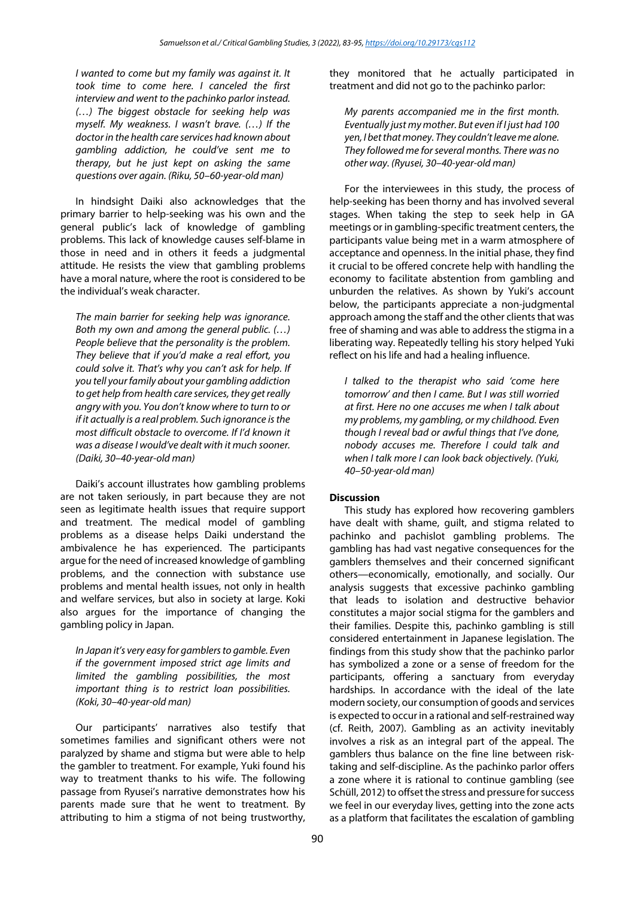*I wanted to come but my family was against it. It took time to come here. I canceled the first interview and went to the pachinko parlor instead. (…) The biggest obstacle for seeking help was myself. My weakness. I wasn't brave. (…) If the doctor in the health care services had known about gambling addiction, he could've sent me to therapy, but he just kept on asking the same questions over again. (Riku, 50–60-year-old man)*

In hindsight Daiki also acknowledges that the primary barrier to help-seeking was his own and the general public's lack of knowledge of gambling problems. This lack of knowledge causes self-blame in those in need and in others it feeds a judgmental attitude. He resists the view that gambling problems have a moral nature, where the root is considered to be the individual's weak character.

*The main barrier for seeking help was ignorance. Both my own and among the general public. (…) People believe that the personality is the problem. They believe that if you'd make a real effort, you could solve it. That's why you can't ask for help. If you tell your family about your gambling addiction to get help from health care services, they get really angry with you. You don't know where to turn to or if it actually is a real problem. Such ignorance is the most difficult obstacle to overcome. If I'd known it was a disease I would've dealt with it much sooner. (Daiki, 30–40-year-old man)*

Daiki's account illustrates how gambling problems are not taken seriously, in part because they are not seen as legitimate health issues that require support and treatment. The medical model of gambling problems as a disease helps Daiki understand the ambivalence he has experienced. The participants argue for the need of increased knowledge of gambling problems, and the connection with substance use problems and mental health issues, not only in health and welfare services, but also in society at large. Koki also argues for the importance of changing the gambling policy in Japan.

*In Japan it's very easy for gamblers to gamble. Even if the government imposed strict age limits and limited the gambling possibilities, the most important thing is to restrict loan possibilities. (Koki, 30–40-year-old man)*

Our participants' narratives also testify that sometimes families and significant others were not paralyzed by shame and stigma but were able to help the gambler to treatment. For example, Yuki found his way to treatment thanks to his wife. The following passage from Ryusei's narrative demonstrates how his parents made sure that he went to treatment. By attributing to him a stigma of not being trustworthy, they monitored that he actually participated in treatment and did not go to the pachinko parlor:

*My parents accompanied me in the first month. Eventually just my mother. But even if I just had 100 yen, I bet that money. They couldn't leave me alone. They followed me for several months. There was no other way. (Ryusei, 30–40-year-old man)*

For the interviewees in this study, the process of help-seeking has been thorny and has involved several stages. When taking the step to seek help in GA meetings or in gambling-specific treatment centers, the participants value being met in a warm atmosphere of acceptance and openness. In the initial phase, they find it crucial to be offered concrete help with handling the economy to facilitate abstention from gambling and unburden the relatives. As shown by Yuki's account below, the participants appreciate a non-judgmental approach among the staff and the other clients that was free of shaming and was able to address the stigma in a liberating way. Repeatedly telling his story helped Yuki reflect on his life and had a healing influence.

*I talked to the therapist who said 'come here tomorrow' and then I came. But I was still worried at first. Here no one accuses me when I talk about my problems, my gambling, or my childhood. Even though I reveal bad or awful things that I've done, nobody accuses me. Therefore I could talk and when I talk more I can look back objectively. (Yuki, 40–50-year-old man)*

### **Discussion**

This study has explored how recovering gamblers have dealt with shame, guilt, and stigma related to pachinko and pachislot gambling problems. The gambling has had vast negative consequences for the gamblers themselves and their concerned significant others—economically, emotionally, and socially. Our analysis suggests that excessive pachinko gambling that leads to isolation and destructive behavior constitutes a major social stigma for the gamblers and their families. Despite this, pachinko gambling is still considered entertainment in Japanese legislation. The findings from this study show that the pachinko parlor has symbolized a zone or a sense of freedom for the participants, offering a sanctuary from everyday hardships. In accordance with the ideal of the late modern society, our consumption of goods and services is expected to occur in a rational and self-restrained way (cf. Reith, 2007). Gambling as an activity inevitably involves a risk as an integral part of the appeal. The gamblers thus balance on the fine line between risktaking and self-discipline. As the pachinko parlor offers a zone where it is rational to continue gambling (see Schüll, 2012) to offset the stress and pressure for success we feel in our everyday lives, getting into the zone acts as a platform that facilitates the escalation of gambling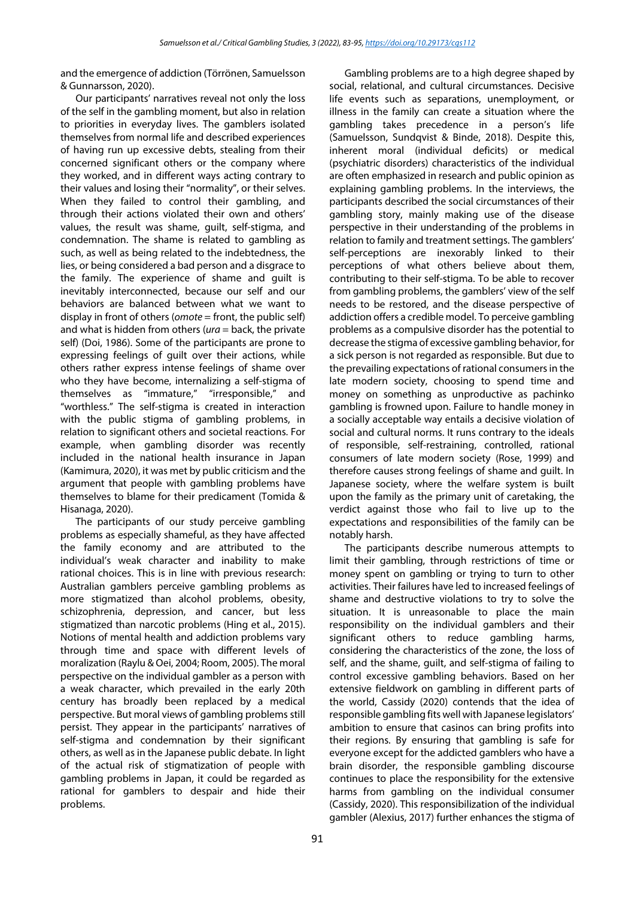and the emergence of addiction (Törrönen, Samuelsson & Gunnarsson, 2020).

Our participants' narratives reveal not only the loss of the self in the gambling moment, but also in relation to priorities in everyday lives. The gamblers isolated themselves from normal life and described experiences of having run up excessive debts, stealing from their concerned significant others or the company where they worked, and in different ways acting contrary to their values and losing their "normality", or their selves. When they failed to control their gambling, and through their actions violated their own and others' values, the result was shame, guilt, self-stigma, and condemnation. The shame is related to gambling as such, as well as being related to the indebtedness, the lies, or being considered a bad person and a disgrace to the family. The experience of shame and guilt is inevitably interconnected, because our self and our behaviors are balanced between what we want to display in front of others (*omote* = front, the public self) and what is hidden from others (*ura* = back, the private self) (Doi, 1986). Some of the participants are prone to expressing feelings of guilt over their actions, while others rather express intense feelings of shame over who they have become, internalizing a self-stigma of themselves as "immature," "irresponsible," and "worthless." The self-stigma is created in interaction with the public stigma of gambling problems, in relation to significant others and societal reactions. For example, when gambling disorder was recently included in the national health insurance in Japan (Kamimura, 2020), it was met by public criticism and the argument that people with gambling problems have themselves to blame for their predicament (Tomida & Hisanaga, 2020).

The participants of our study perceive gambling problems as especially shameful, as they have affected the family economy and are attributed to the individual's weak character and inability to make rational choices. This is in line with previous research: Australian gamblers perceive gambling problems as more stigmatized than alcohol problems, obesity, schizophrenia, depression, and cancer, but less stigmatized than narcotic problems (Hing et al., 2015). Notions of mental health and addiction problems vary through time and space with different levels of moralization (Raylu & Oei, 2004; Room, 2005). The moral perspective on the individual gambler as a person with a weak character, which prevailed in the early 20th century has broadly been replaced by a medical perspective. But moral views of gambling problems still persist. They appear in the participants' narratives of self-stigma and condemnation by their significant others, as well as in the Japanese public debate. In light of the actual risk of stigmatization of people with gambling problems in Japan, it could be regarded as rational for gamblers to despair and hide their problems.

social, relational, and cultural circumstances. Decisive life events such as separations, unemployment, or illness in the family can create a situation where the gambling takes precedence in a person's life (Samuelsson, Sundqvist & Binde, 2018). Despite this, inherent moral (individual deficits) or medical (psychiatric disorders) characteristics of the individual are often emphasized in research and public opinion as explaining gambling problems. In the interviews, the participants described the social circumstances of their gambling story, mainly making use of the disease perspective in their understanding of the problems in relation to family and treatment settings. The gamblers' self-perceptions are inexorably linked to their perceptions of what others believe about them, contributing to their self-stigma. To be able to recover from gambling problems, the gamblers' view of the self needs to be restored, and the disease perspective of addiction offers a credible model. To perceive gambling problems as a compulsive disorder has the potential to decrease the stigma of excessive gambling behavior, for a sick person is not regarded as responsible. But due to the prevailing expectations of rational consumers in the late modern society, choosing to spend time and money on something as unproductive as pachinko gambling is frowned upon. Failure to handle money in a socially acceptable way entails a decisive violation of social and cultural norms. It runs contrary to the ideals of responsible, self-restraining, controlled, rational consumers of late modern society (Rose, 1999) and therefore causes strong feelings of shame and guilt. In Japanese society, where the welfare system is built upon the family as the primary unit of caretaking, the verdict against those who fail to live up to the expectations and responsibilities of the family can be notably harsh.

Gambling problems are to a high degree shaped by

The participants describe numerous attempts to limit their gambling, through restrictions of time or money spent on gambling or trying to turn to other activities. Their failures have led to increased feelings of shame and destructive violations to try to solve the situation. It is unreasonable to place the main responsibility on the individual gamblers and their significant others to reduce gambling harms, considering the characteristics of the zone, the loss of self, and the shame, guilt, and self-stigma of failing to control excessive gambling behaviors. Based on her extensive fieldwork on gambling in different parts of the world, Cassidy (2020) contends that the idea of responsible gambling fits well with Japanese legislators' ambition to ensure that casinos can bring profits into their regions. By ensuring that gambling is safe for everyone except for the addicted gamblers who have a brain disorder, the responsible gambling discourse continues to place the responsibility for the extensive harms from gambling on the individual consumer (Cassidy, 2020). This responsibilization of the individual gambler (Alexius, 2017) further enhances the stigma of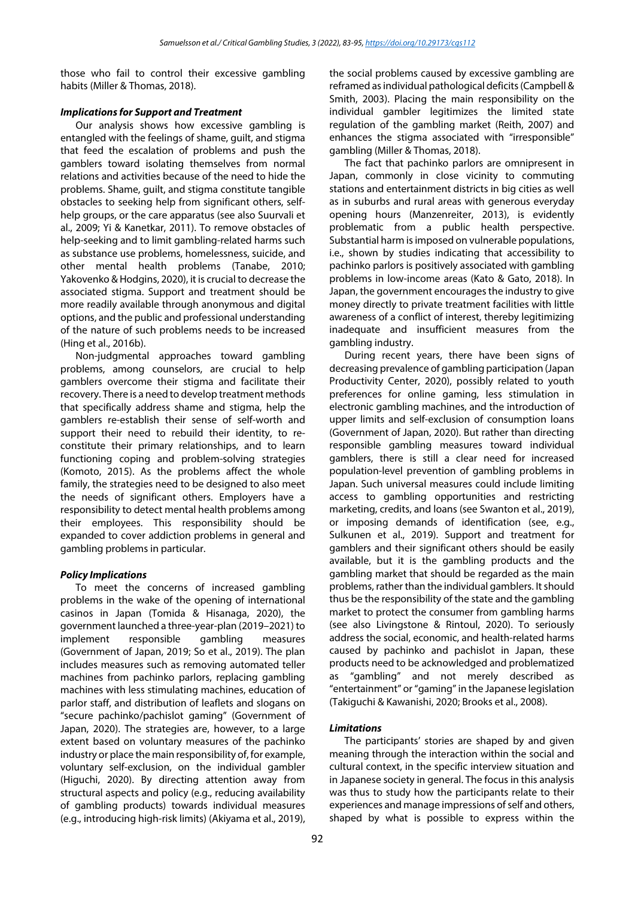those who fail to control their excessive gambling habits (Miller & Thomas, 2018).

### *Implications for Support and Treatment*

Our analysis shows how excessive gambling is entangled with the feelings of shame, guilt, and stigma that feed the escalation of problems and push the gamblers toward isolating themselves from normal relations and activities because of the need to hide the problems. Shame, guilt, and stigma constitute tangible obstacles to seeking help from significant others, selfhelp groups, or the care apparatus (see also Suurvali et al., 2009; Yi & Kanetkar, 2011). To remove obstacles of help-seeking and to limit gambling-related harms such as substance use problems, homelessness, suicide, and other mental health problems (Tanabe, 2010; Yakovenko & Hodgins, 2020), it is crucial to decrease the associated stigma. Support and treatment should be more readily available through anonymous and digital options, and the public and professional understanding of the nature of such problems needs to be increased (Hing et al., 2016b).

Non-judgmental approaches toward gambling problems, among counselors, are crucial to help gamblers overcome their stigma and facilitate their recovery. There is a need to develop treatment methods that specifically address shame and stigma, help the gamblers re-establish their sense of self-worth and support their need to rebuild their identity, to reconstitute their primary relationships, and to learn functioning coping and problem-solving strategies (Komoto, 2015). As the problems affect the whole family, the strategies need to be designed to also meet the needs of significant others. Employers have a responsibility to detect mental health problems among their employees. This responsibility should be expanded to cover addiction problems in general and gambling problems in particular.

## *Policy Implications*

To meet the concerns of increased gambling problems in the wake of the opening of international casinos in Japan (Tomida & Hisanaga, 2020), the government launched a three-year-plan (2019–2021) to implement responsible gambling measures (Government of Japan, 2019; So et al., 2019). The plan includes measures such as removing automated teller machines from pachinko parlors, replacing gambling machines with less stimulating machines, education of parlor staff, and distribution of leaflets and slogans on "secure pachinko/pachislot gaming" (Government of Japan, 2020). The strategies are, however, to a large extent based on voluntary measures of the pachinko industry or place the main responsibility of, for example, voluntary self-exclusion, on the individual gambler (Higuchi, 2020). By directing attention away from structural aspects and policy (e.g., reducing availability of gambling products) towards individual measures (e.g., introducing high-risk limits) (Akiyama et al., 2019), the social problems caused by excessive gambling are reframed as individual pathological deficits (Campbell & Smith, 2003). Placing the main responsibility on the individual gambler legitimizes the limited state regulation of the gambling market (Reith, 2007) and enhances the stigma associated with "irresponsible" gambling (Miller & Thomas, 2018).

The fact that pachinko parlors are omnipresent in Japan, commonly in close vicinity to commuting stations and entertainment districts in big cities as well as in suburbs and rural areas with generous everyday opening hours (Manzenreiter, 2013), is evidently problematic from a public health perspective. Substantial harm is imposed on vulnerable populations, i.e., shown by studies indicating that accessibility to pachinko parlors is positively associated with gambling problems in low-income areas (Kato & Gato, 2018). In Japan, the government encourages the industry to give money directly to private treatment facilities with little awareness of a conflict of interest, thereby legitimizing inadequate and insufficient measures from the gambling industry.

During recent years, there have been signs of decreasing prevalence of gambling participation (Japan Productivity Center, 2020), possibly related to youth preferences for online gaming, less stimulation in electronic gambling machines, and the introduction of upper limits and self-exclusion of consumption loans (Government of Japan, 2020). But rather than directing responsible gambling measures toward individual gamblers, there is still a clear need for increased population-level prevention of gambling problems in Japan. Such universal measures could include limiting access to gambling opportunities and restricting marketing, credits, and loans (see Swanton et al., 2019), or imposing demands of identification (see, e.g., Sulkunen et al., 2019). Support and treatment for gamblers and their significant others should be easily available, but it is the gambling products and the gambling market that should be regarded as the main problems, rather than the individual gamblers. It should thus be the responsibility of the state and the gambling market to protect the consumer from gambling harms (see also Livingstone & Rintoul, 2020). To seriously address the social, economic, and health-related harms caused by pachinko and pachislot in Japan, these products need to be acknowledged and problematized as "gambling" and not merely described as "entertainment" or "gaming" in the Japanese legislation (Takiguchi & Kawanishi, 2020; Brooks et al., 2008).

## *Limitations*

The participants' stories are shaped by and given meaning through the interaction within the social and cultural context, in the specific interview situation and in Japanese society in general. The focus in this analysis was thus to study how the participants relate to their experiences and manage impressions of self and others, shaped by what is possible to express within the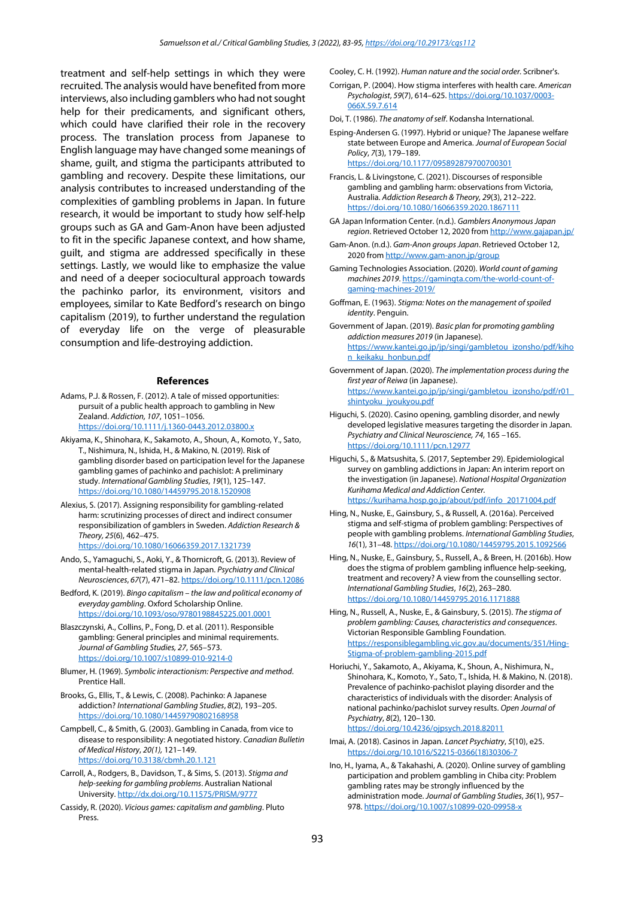treatment and self-help settings in which they were recruited. The analysis would have benefited from more interviews, also including gamblers who had not sought help for their predicaments, and significant others, which could have clarified their role in the recovery process. The translation process from Japanese to English language may have changed some meanings of shame, guilt, and stigma the participants attributed to gambling and recovery. Despite these limitations, our analysis contributes to increased understanding of the complexities of gambling problems in Japan. In future research, it would be important to study how self-help groups such as GA and Gam-Anon have been adjusted to fit in the specific Japanese context, and how shame, guilt, and stigma are addressed specifically in these settings. Lastly, we would like to emphasize the value and need of a deeper sociocultural approach towards the pachinko parlor, its environment, visitors and employees, similar to Kate Bedford's research on bingo capitalism (2019), to further understand the regulation of everyday life on the verge of pleasurable consumption and life-destroying addiction.

#### **References**

- Adams, P.J. & Rossen, F. (2012). A tale of missed opportunities: pursuit of a public health approach to gambling in New Zealand. *Addiction, 107*, 1051–1056. <https://doi.org/10.1111/j.1360-0443.2012.03800.x>
- Akiyama, K., Shinohara, K., Sakamoto, A., Shoun, A., Komoto, Y., Sato, T., Nishimura, N., Ishida, H., & Makino, N. (2019). Risk of gambling disorder based on participation level for the Japanese gambling games of pachinko and pachislot: A preliminary study. *International Gambling Studies*, *19*(1), 125–147. <https://doi.org/10.1080/14459795.2018.1520908>
- Alexius, S. (2017). Assigning responsibility for gambling-related harm: scrutinizing processes of direct and indirect consumer responsibilization of gamblers in Sweden. *Addiction Research & Theory, 25*(6), 462–475. <https://doi.org/10.1080/16066359.2017.1321739>
- Ando, S., Yamaguchi, S., Aoki, Y., & Thornicroft, G. (2013). Review of mental-health-related stigma in Japan. *Psychiatry and Clinical Neurosciences*, *67*(7), 471–82[. https://doi.org/10.1111/pcn.12086](https://doi.org/10.1111/pcn.12086)
- Bedford, K. (2019). *Bingo capitalism – the law and political economy of everyday gambling*. Oxford Scholarship Online. <https://doi.org/10.1093/oso/9780198845225.001.0001>

Blaszczynski, A., Collins, P., Fong, D. et al. (2011). Responsible gambling: General principles and minimal requirements. *Journal of Gambling Studies, 27*, 565–573. <https://doi.org/10.1007/s10899-010-9214-0>

Blumer, H. (1969). *Symbolic interactionism: Perspective and method*. Prentice Hall.

Brooks, G., Ellis, T., & Lewis, C. (2008). Pachinko: A Japanese addiction? *International Gambling Studies*, *8*(2), 193–205. <https://doi.org/10.1080/14459790802168958>

Campbell, C., & Smith, G. (2003). Gambling in Canada, from vice to disease to responsibility: A negotiated history. *Canadian Bulletin of Medical History*, *20(1),* 121–149. <https://doi.org/10.3138/cbmh.20.1.121>

Carroll, A., Rodgers, B., Davidson, T., & Sims, S. (2013). *Stigma and help-seeking for gambling problems*. Australian National University[. http://dx.doi.org/10.11575/PRISM/9777](http://dx.doi.org/10.11575/PRISM/9777)

Cassidy, R. (2020). *Vicious games: capitalism and gambling*. Pluto Press.

Cooley, C. H. (1992). *Human nature and the social order.* Scribner's.

- Corrigan, P. (2004). How stigma interferes with health care. *American Psychologist*, *59*(7), 614–625[. https://doi.org/10.1037/0003-](https://doi.org/10.1037/0003-066X.59.7.614) [066X.59.7.614](https://doi.org/10.1037/0003-066X.59.7.614)
- Doi, T. (1986). *The anatomy of self*. Kodansha International.
- Esping-Andersen G. (1997). Hybrid or unique? The Japanese welfare state between Europe and America. *Journal of European Social Policy*, *7*(3), 179–189. <https://doi.org/10.1177/095892879700700301>
- Francis, L. & Livingstone, C. (2021). Discourses of responsible gambling and gambling harm: observations from Victoria, Australia. *Addiction Research & Theory, 29*(3), 212–222. <https://doi.org/10.1080/16066359.2020.1867111>
- GA Japan Information Center. (n.d.). *Gamblers Anonymous Japan region*. Retrieved October 12, 2020 fro[m http://www.gajapan.jp/](http://www.gajapan.jp/)
- Gam-Anon. (n.d.). *Gam-Anon groups Japan*. Retrieved October 12, 2020 fro[m http://www.gam-anon.jp/group](http://www.gam-anon.jp/group)
- Gaming Technologies Association. (2020). *World count of gaming machines 2019*[. https://gamingta.com/the-world-count-of](https://gamingta.com/the-world-count-of-gaming-machines-2019/)[gaming-machines-2019/](https://gamingta.com/the-world-count-of-gaming-machines-2019/)
- Goffman, E. (1963). *Stigma: Notes on the management of spoiled identity*. Penguin.
- Government of Japan. (2019). *Basic plan for promoting gambling addiction measures 2019* (in Japanese). [https://www.kantei.go.jp/jp/singi/gambletou\\_izonsho/pdf/kiho](https://www.kantei.go.jp/jp/singi/gambletou_izonsho/pdf/kihon_keikaku_honbun.pdf) [n\\_keikaku\\_honbun.pdf](https://www.kantei.go.jp/jp/singi/gambletou_izonsho/pdf/kihon_keikaku_honbun.pdf)

Government of Japan. (2020). *The implementation process during the first year of Reiwa* (in Japanese). [https://www.kantei.go.jp/jp/singi/gambletou\\_izonsho/pdf/r01\\_](https://www.kantei.go.jp/jp/singi/gambletou_izonsho/pdf/r01_shintyoku_jyoukyou.pdf) [shintyoku\\_jyoukyou.pdf](https://www.kantei.go.jp/jp/singi/gambletou_izonsho/pdf/r01_shintyoku_jyoukyou.pdf)

- Higuchi, S. (2020). Casino opening, gambling disorder, and newly developed legislative measures targeting the disorder in Japan. *Psychiatry and Clinical Neuroscience, 74*, 165 –165. <https://doi.org/10.1111/pcn.12977>
- Higuchi, S., & Matsushita, S. (2017, September 29). Epidemiological survey on gambling addictions in Japan: An interim report on the investigation (in Japanese). *National Hospital Organization Kurihama Medical and Addiction Center.* [https://kurihama.hosp.go.jp/about/pdf/info\\_20171004.pdf](https://kurihama.hosp.go.jp/about/pdf/info_20171004.pdf)
- Hing, N., Nuske, E., Gainsbury, S., & Russell, A. (2016a). Perceived stigma and self-stigma of problem gambling: Perspectives of people with gambling problems. *International Gambling Studies*, *16*(1), 31–48[. https://doi.org/10.1080/14459795.2015.1092566](https://doi.org/10.1080/14459795.2015.1092566)
- Hing, N., Nuske, E., Gainsbury, S., Russell, A., & Breen, H. (2016b). How does the stigma of problem gambling influence help-seeking, treatment and recovery? A view from the counselling sector. *International Gambling Studies*, *16*(2), 263–280. <https://doi.org/10.1080/14459795.2016.1171888>
- Hing, N., Russell, A., Nuske, E., & Gainsbury, S. (2015). *The stigma of problem gambling: Causes, characteristics and consequences*. Victorian Responsible Gambling Foundation. [https://responsiblegambling.vic.gov.au/documents/351/Hing-](https://responsiblegambling.vic.gov.au/documents/351/Hing-Stigma-of-problem-gambling-2015.pdf)[Stigma-of-problem-gambling-2015.pdf](https://responsiblegambling.vic.gov.au/documents/351/Hing-Stigma-of-problem-gambling-2015.pdf)
- Horiuchi, Y., Sakamoto, A., Akiyama, K., Shoun, A., Nishimura, N., Shinohara, K., Komoto, Y., Sato, T., Ishida, H. & Makino, N. (2018). Prevalence of pachinko-pachislot playing disorder and the characteristics of individuals with the disorder: Analysis of national pachinko/pachislot survey results. *Open Journal of Psychiatry*, *8*(2), 120–130. <https://doi.org/10.4236/ojpsych.2018.82011>
- Imai, A. (2018). Casinos in Japan. *Lancet Psychiatry*, *5*(10), e25. [https://doi.org/10.1016/S2215-0366\(18\)30306-7](https://doi.org/10.1016/S2215-0366(18)30306-7)
- Ino, H., Iyama, A., & Takahashi, A. (2020). Online survey of gambling participation and problem gambling in Chiba city: Problem gambling rates may be strongly influenced by the administration mode. *Journal of Gambling Studies*, *36*(1), 957– 978. <https://doi.org/10.1007/s10899-020-09958-x>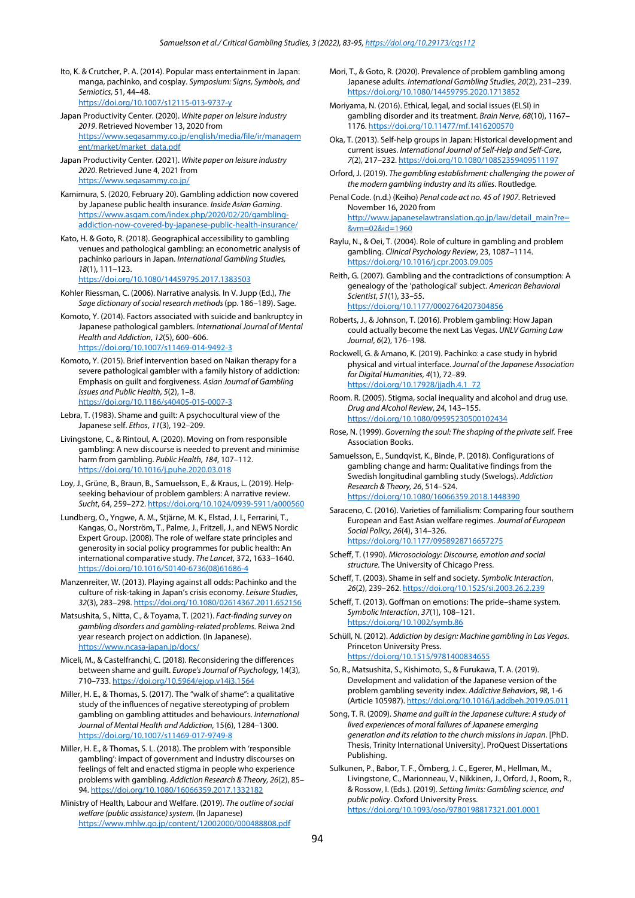- Ito, K. & Crutcher, P. A. (2014). Popular mass entertainment in Japan: manga, pachinko, and cosplay. *Symposium: Signs, Symbols, and Semiotics,* 51, 44–48. <https://doi.org/10.1007/s12115-013-9737-y>
- Japan Productivity Center. (2020). *White paper on leisure industry 2019*. Retrieved November 13, 2020 from [https://www.segasammy.co.jp/english/media/file/ir/managem](https://www.segasammy.co.jp/english/media/file/ir/management/market/market_data.pdf) [ent/market/market\\_data.pdf](https://www.segasammy.co.jp/english/media/file/ir/management/market/market_data.pdf)
- Japan Productivity Center. (2021). *White paper on leisure industry 2020*. Retrieved June 4, 2021 from <https://www.segasammy.co.jp/>
- Kamimura, S. (2020, February 20). Gambling addiction now covered by Japanese public health insurance. *Inside Asian Gaming*. [https://www.asgam.com/index.php/2020/02/20/gambling](https://www.asgam.com/index.php/2020/02/20/gambling-addiction-now-covered-by-japanese-public-health-insurance/)[addiction-now-covered-by-japanese-public-health-insurance/](https://www.asgam.com/index.php/2020/02/20/gambling-addiction-now-covered-by-japanese-public-health-insurance/)
- Kato, H. & Goto, R. (2018). Geographical accessibility to gambling venues and pathological gambling: an econometric analysis of pachinko parlours in Japan. *International Gambling Studies, 18*(1), 111–123.

<https://doi.org/10.1080/14459795.2017.1383503>

- Kohler Riessman, C. (2006). Narrative analysis*.* In V. Jupp (Ed.), *The Sage dictionary of social research methods* (pp. 186–189). Sage.
- Komoto, Y. (2014). Factors associated with suicide and bankruptcy in Japanese pathological gamblers. *International Journal of Mental Health and Addiction*, *12*(5), 600–606. <https://doi.org/10.1007/s11469-014-9492-3>
- Komoto, Y. (2015). Brief intervention based on Naikan therapy for a severe pathological gambler with a family history of addiction: Emphasis on guilt and forgiveness. *Asian Journal of Gambling Issues and Public Health*, *5*(2), 1–8. <https://doi.org/10.1186/s40405-015-0007-3>
- Lebra, T. (1983). Shame and guilt: A psychocultural view of the Japanese self. *Ethos*, *11*(3), 192–209.
- Livingstone, C., & Rintoul, A. (2020). Moving on from responsible gambling: A new discourse is needed to prevent and minimise harm from gambling. *Public Health*, *184*, 107–112. <https://doi.org/10.1016/j.puhe.2020.03.018>
- Loy, J., Grüne, B., Braun, B., Samuelsson, E., & Kraus, L. (2019). Helpseeking behaviour of problem gamblers: A narrative review. *Sucht*, 64, 259–272[. https://doi.org/10.1024/0939-5911/a000560](https://doi.org/10.1024/0939-5911/a000560)
- Lundberg, O., Yngwe, A. M., Stjärne, M. K., Elstad, J. I., Ferrarini, T., Kangas, O., Norström, T., Palme, J., Fritzell, J., and NEWS Nordic Expert Group. (2008). The role of welfare state principles and generosity in social policy programmes for public health: An international comparative study. *The Lancet*, 372, 1633–1640. [https://doi.org/10.1016/S0140-6736\(08\)61686-4](https://doi.org/10.1016/S0140-6736(08)61686-4)
- Manzenreiter, W. (2013). Playing against all odds: Pachinko and the culture of risk-taking in Japan's crisis economy. *Leisure Studies*, *32*(3), 283–298[. https://doi.org/10.1080/02614367.2011.652156](https://doi.org/10.1080/02614367.2011.652156)
- Matsushita, S., Nitta, C., & Toyama, T. (2021). *Fact-finding survey on gambling disorders and gambling-related problems.* Reiwa 2nd year research project on addiction. (In Japanese). <https://www.ncasa-japan.jp/docs/>
- Miceli, M., & Castelfranchi, C. (2018). Reconsidering the differences between shame and guilt. *Europe's Journal of Psychology,* 14(3), 710–733[. https://doi.org/10.5964/ejop.v14i3.1564](https://doi.org/10.5964/ejop.v14i3.1564)
- Miller, H. E., & Thomas, S. (2017). The "walk of shame": a qualitative study of the influences of negative stereotyping of problem gambling on gambling attitudes and behaviours. *International Journal of Mental Health and Addiction,* 15(6), 1284–1300. <https://doi.org/10.1007/s11469-017-9749-8>
- Miller, H. E., & Thomas, S. L. (2018). The problem with 'responsible gambling': impact of government and industry discourses on feelings of felt and enacted stigma in people who experience problems with gambling. *Addiction Research & Theory, 26*(2), 85– 94[. https://doi.org/10.1080/16066359.2017.1332182](https://doi.org/10.1080/16066359.2017.1332182)
- Ministry of Health, Labour and Welfare. (2019). *The outline of social welfare (public assistance) system.* (In Japanese) <https://www.mhlw.go.jp/content/12002000/000488808.pdf>
- Mori, T., & Goto, R. (2020). Prevalence of problem gambling among Japanese adults. *International Gambling Studies*, *20*(2), 231–239. <https://doi.org/10.1080/14459795.2020.1713852>
- Moriyama, N. (2016). Ethical, legal, and social issues (ELSI) in gambling disorder and its treatment*. Brain Nerve*, *68*(10), 1167– 1176[. https://doi.org/10.11477/mf.1416200570](https://doi.org/10.11477/mf.1416200570)
- Oka, T. (2013). Self-help groups in Japan: Historical development and current issues. *International Journal of Self-Help and Self-Care*, *7*(2), 217–232[. https://doi.org/10.1080/10852359409511197](https://doi.org/10.1080/10852359409511197)
- Orford, J. (2019). *The gambling establishment: challenging the power of the modern gambling industry and its allies*. Routledge.
- Penal Code. (n.d.) (Keiho) *Penal code act no. 45 of 1907*. Retrieved November 16, 2020 from [http://www.japaneselawtranslation.go.jp/law/detail\\_main?re=](http://www.japaneselawtranslation.go.jp/law/detail_main?re=&vm=02&id=1960) [&vm=02&id=1960](http://www.japaneselawtranslation.go.jp/law/detail_main?re=&vm=02&id=1960)
- Raylu, N., & Oei, T. (2004). Role of culture in gambling and problem gambling. *Clinical Psychology Review*, 23, 1087–1114. <https://doi.org/10.1016/j.cpr.2003.09.005>
- Reith, G. (2007). Gambling and the contradictions of consumption: A genealogy of the 'pathological' subject. *American Behavioral Scientist*, *51*(1), 33–55.

[https://doi.org/10.1177/0002764207304856](https://doi.org/10.1177%2F0002764207304856)

- Roberts, J., & Johnson, T. (2016). Problem gambling: How Japan could actually become the next Las Vegas. *UNLV Gaming Law Journal*, *6*(2), 176–198.
- Rockwell, G. & Amano, K. (2019). Pachinko: a case study in hybrid physical and virtual interface. *Journal of the Japanese Association for Digital Humanities, 4*(1), 72–89. [https://doi.org/10.17928/jjadh.4.1\\_72](https://doi.org/10.17928/jjadh.4.1_72)
- Room. R. (2005). Stigma, social inequality and alcohol and drug use. *Drug and Alcohol Review*, *24*, 143–155. <https://doi.org/10.1080/09595230500102434>
- Rose, N. (1999). *Governing the soul: The shaping of the private self.* Free Association Books.
- Samuelsson, E., Sundqvist, K., Binde, P. (2018). Configurations of gambling change and harm: Qualitative findings from the Swedish longitudinal gambling study (Swelogs). *Addiction Research & Theory, 26*, 514–524. <https://doi.org/10.1080/16066359.2018.1448390>
- Saraceno, C. (2016). Varieties of familialism: Comparing four southern European and East Asian welfare regimes. *Journal of European Social Policy*, *26*(4), 314–326. <https://doi.org/10.1177/0958928716657275>
- Scheff, T. (1990). *Microsociology: Discourse, emotion and social structure*. The University of Chicago Press.
- Scheff, T. (2003). Shame in self and society. *Symbolic Interaction*, *26*(2), 239–262[. https://doi.org/10.1525/si.2003.26.2.239](https://doi.org/10.1525/si.2003.26.2.239)
- Scheff, T. (2013). Goffman on emotions: The pride–shame system. *Symbolic Interaction*, *37*(1), 108–121. <https://doi.org/10.1002/symb.86>
- Schüll, N. (2012). *Addiction by design: Machine gambling in Las Vegas*. Princeton University Press. <https://doi.org/10.1515/9781400834655>
- So, R., Matsushita, S., Kishimoto, S., & Furukawa, T. A. (2019). Development and validation of the Japanese version of the problem gambling severity index. *Addictive Behaviors*, *98*, 1-6 (Article 105987). <https://doi.org/10.1016/j.addbeh.2019.05.011>
- Song, T. R. (2009). *Shame and guilt in the Japanese culture: A study of lived experiences of moral failures of Japanese emerging generation and its relation to the church missions in Japan*. [PhD. Thesis, Trinity International University]. ProQuest Dissertations Publishing.
- Sulkunen, P., Babor, T. F., Örnberg, J. C., Egerer, M., Hellman, M., Livingstone, C., Marionneau, V., Nikkinen, J., Orford, J., Room, R., & Rossow, I. (Eds.). (2019). *Setting limits: Gambling science, and public policy*. Oxford University Press. <https://doi.org/10.1093/oso/9780198817321.001.0001>